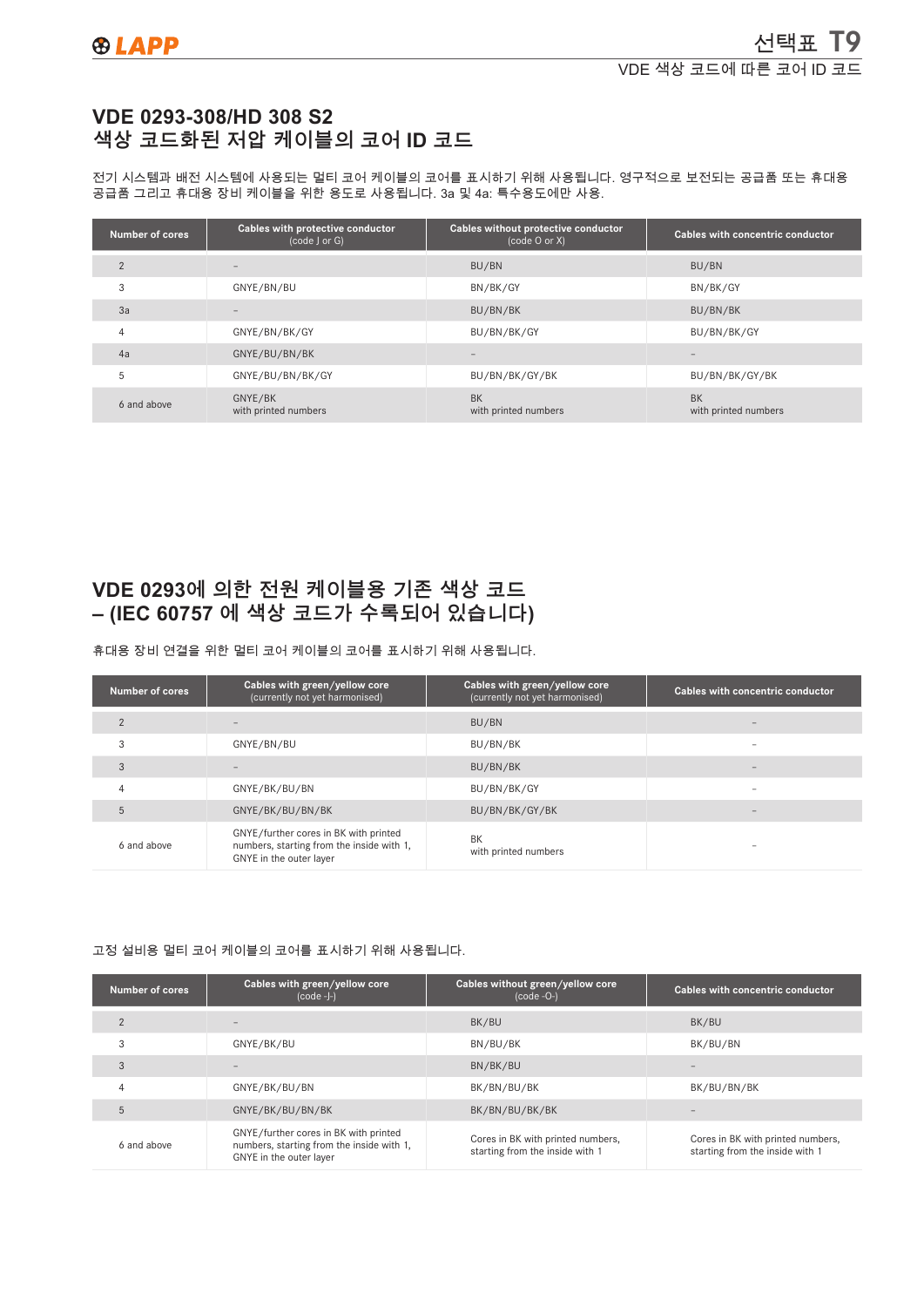$M$ 택표  $T9$ 

#### **VDE 0293-308/HD 308 S2 색상 코드화된 저압 케이블의 코어 ID 코드**

전기 시스템과 배전 시스템에 사용되는 멀티 코어 케이블의 코어를 표시하기 위해 사용됩니다. 영구적으로 보전되는 공급품 또는 휴대용 공급품 그리고 휴대용 장비 케이블을 위한 용도로 사용됩니다. 3a 및 4a: 특수용도에만 사용.

| Number of cores | Cables with protective conductor<br>(code J or G) | Cables without protective conductor<br>(code O or X) | Cables with concentric conductor  |
|-----------------|---------------------------------------------------|------------------------------------------------------|-----------------------------------|
| $\overline{2}$  |                                                   | BU/BN                                                | BU/BN                             |
| 3               | GNYE/BN/BU                                        | BN/BK/GY                                             | BN/BK/GY                          |
| 3a              |                                                   | BU/BN/BK                                             | BU/BN/BK                          |
| $\overline{4}$  | GNYE/BN/BK/GY                                     | BU/BN/BK/GY                                          | BU/BN/BK/GY                       |
| 4a              | GNYE/BU/BN/BK                                     | -                                                    | $\overline{\phantom{0}}$          |
| 5               | GNYE/BU/BN/BK/GY                                  | BU/BN/BK/GY/BK                                       | BU/BN/BK/GY/BK                    |
| 6 and above     | GNYE/BK<br>with printed numbers                   | <b>BK</b><br>with printed numbers                    | <b>BK</b><br>with printed numbers |

### **VDE 0293에 의한 전원 케이블용 기존 색상 코드 – (IEC 60757 에 색상 코드가 수록되어 있습니다)**

휴대용 장비 연결을 위한 멀티 코어 케이블의 코어를 표시하기 위해 사용됩니다.

| <b>Number of cores</b> | Cables with green/yellow core<br>(currently not yet harmonised)                                               | Cables with green/yellow core<br>(currently not yet harmonised) | Cables with concentric conductor |
|------------------------|---------------------------------------------------------------------------------------------------------------|-----------------------------------------------------------------|----------------------------------|
|                        |                                                                                                               | BU/BN                                                           |                                  |
| 3                      | GNYE/BN/BU                                                                                                    | BU/BN/BK                                                        |                                  |
| 3                      |                                                                                                               | BU/BN/BK                                                        |                                  |
| $\overline{4}$         | GNYE/BK/BU/BN                                                                                                 | BU/BN/BK/GY                                                     |                                  |
| 5                      | GNYE/BK/BU/BN/BK                                                                                              | BU/BN/BK/GY/BK                                                  |                                  |
| 6 and above            | GNYE/further cores in BK with printed<br>numbers, starting from the inside with 1,<br>GNYE in the outer layer | BK<br>with printed numbers                                      |                                  |

#### 고정 설비용 멀티 코어 케이블의 코어를 표시하기 위해 사용됩니다.

| <b>Number of cores</b> | Cables with green/yellow core<br>$(code -J-)$                                                                 | Cables without green/yellow core<br>$(code -O-)$                     | Cables with concentric conductor                                     |  |  |  |
|------------------------|---------------------------------------------------------------------------------------------------------------|----------------------------------------------------------------------|----------------------------------------------------------------------|--|--|--|
| $\Omega$               |                                                                                                               | BK/BU                                                                | BK/BU                                                                |  |  |  |
| 3                      | GNYE/BK/BU                                                                                                    | BN/BU/BK                                                             | BK/BU/BN                                                             |  |  |  |
| 3                      |                                                                                                               | BN/BK/BU                                                             | $\overline{\phantom{a}}$                                             |  |  |  |
| 4                      | GNYE/BK/BU/BN                                                                                                 | BK/BN/BU/BK                                                          | BK/BU/BN/BK                                                          |  |  |  |
| 5                      | GNYE/BK/BU/BN/BK                                                                                              | BK/BN/BU/BK/BK                                                       |                                                                      |  |  |  |
| 6 and above            | GNYE/further cores in BK with printed<br>numbers, starting from the inside with 1,<br>GNYE in the outer layer | Cores in BK with printed numbers,<br>starting from the inside with 1 | Cores in BK with printed numbers,<br>starting from the inside with 1 |  |  |  |